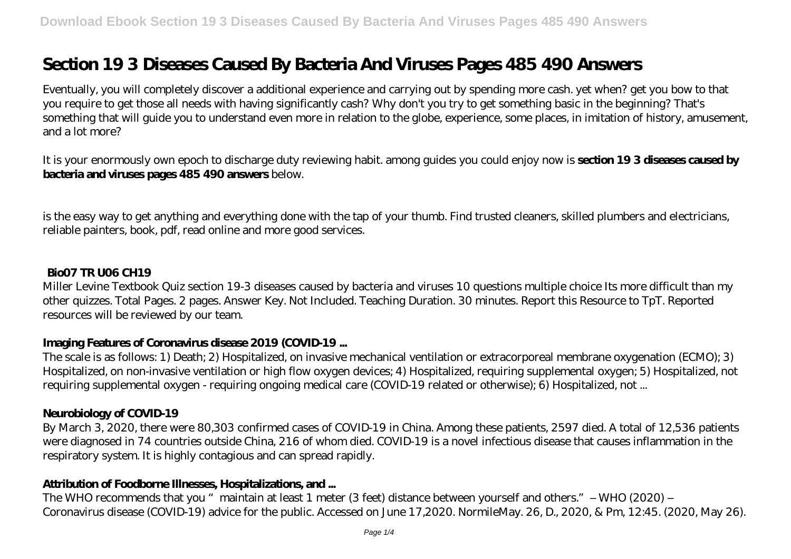# **Section 19 3 Diseases Caused By Bacteria And Viruses Pages 485 490 Answers**

Eventually, you will completely discover a additional experience and carrying out by spending more cash. yet when? get you bow to that you require to get those all needs with having significantly cash? Why don't you try to get something basic in the beginning? That's something that will guide you to understand even more in relation to the globe, experience, some places, in imitation of history, amusement, and a lot more?

It is your enormously own epoch to discharge duty reviewing habit. among guides you could enjoy now is **section 19 3 diseases caused by bacteria and viruses pages 485 490 answers** below.

is the easy way to get anything and everything done with the tap of your thumb. Find trusted cleaners, skilled plumbers and electricians, reliable painters, book, pdf, read online and more good services.

## **Bio07 TR U06 CH19**

Miller Levine Textbook Quiz section 19-3 diseases caused by bacteria and viruses 10 questions multiple choice Its more difficult than my other quizzes. Total Pages. 2 pages. Answer Key. Not Included. Teaching Duration. 30 minutes. Report this Resource to TpT. Reported resources will be reviewed by our team.

## **Imaging Features of Coronavirus disease 2019 (COVID-19 ...**

The scale is as follows: 1) Death; 2) Hospitalized, on invasive mechanical ventilation or extracorporeal membrane oxygenation (ECMO); 3) Hospitalized, on non-invasive ventilation or high flow oxygen devices; 4) Hospitalized, requiring supplemental oxygen; 5) Hospitalized, not requiring supplemental oxygen - requiring ongoing medical care (COVID-19 related or otherwise); 6) Hospitalized, not ...

# **Neurobiology of COVID-19**

By March 3, 2020, there were 80,303 confirmed cases of COVID-19 in China. Among these patients, 2597 died. A total of 12,536 patients were diagnosed in 74 countries outside China, 216 of whom died. COVID-19 is a novel infectious disease that causes inflammation in the respiratory system. It is highly contagious and can spread rapidly.

## **Attribution of Foodborne Illnesses, Hospitalizations, and ...**

The WHO recommends that you "maintain at least 1 meter (3 feet) distance between yourself and others." - WHO (2020) -Coronavirus disease (COVID-19) advice for the public. Accessed on June 17,2020. NormileMay. 26, D., 2020, & Pm, 12:45. (2020, May 26).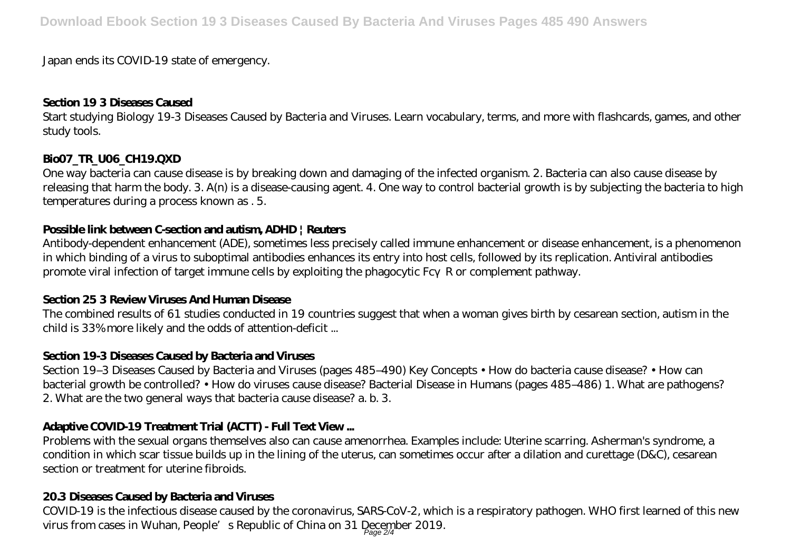#### Japan ends its COVID-19 state of emergency.

#### **Section 19 3 Diseases Caused**

Start studying Biology 19-3 Diseases Caused by Bacteria and Viruses. Learn vocabulary, terms, and more with flashcards, games, and other study tools.

# **Bio07\_TR\_U06\_CH19.QXD**

One way bacteria can cause disease is by breaking down and damaging of the infected organism. 2. Bacteria can also cause disease by releasing that harm the body. 3. A(n) is a disease-causing agent. 4. One way to control bacterial growth is by subjecting the bacteria to high temperatures during a process known as . 5.

## **Possible link between C-section and autism, ADHD | Reuters**

Antibody-dependent enhancement (ADE), sometimes less precisely called immune enhancement or disease enhancement, is a phenomenon in which binding of a virus to suboptimal antibodies enhances its entry into host cells, followed by its replication. Antiviral antibodies promote viral infection of target immune cells by exploiting the phagocytic Fc R or complement pathway.

## **Section 25 3 Review Viruses And Human Disease**

The combined results of 61 studies conducted in 19 countries suggest that when a woman gives birth by cesarean section, autism in the child is 33% more likely and the odds of attention-deficit ...

## **Section 19-3 Diseases Caused by Bacteria and Viruses**

Section 19–3 Diseases Caused by Bacteria and Viruses (pages 485–490) Key Concepts • How do bacteria cause disease? • How can bacterial growth be controlled? • How do viruses cause disease? Bacterial Disease in Humans (pages 485–486) 1. What are pathogens? 2. What are the two general ways that bacteria cause disease? a. b. 3.

# **Adaptive COVID-19 Treatment Trial (ACTT) - Full Text View ...**

Problems with the sexual organs themselves also can cause amenorrhea. Examples include: Uterine scarring. Asherman's syndrome, a condition in which scar tissue builds up in the lining of the uterus, can sometimes occur after a dilation and curettage (D&C), cesarean section or treatment for uterine fibroids.

# **20.3 Diseases Caused by Bacteria and Viruses**

COVID-19 is the infectious disease caused by the coronavirus, SARS-CoV-2, which is a respiratory pathogen. WHO first learned of this new virus from cases in Wuhan, People's Republic of China on 31 December 2019.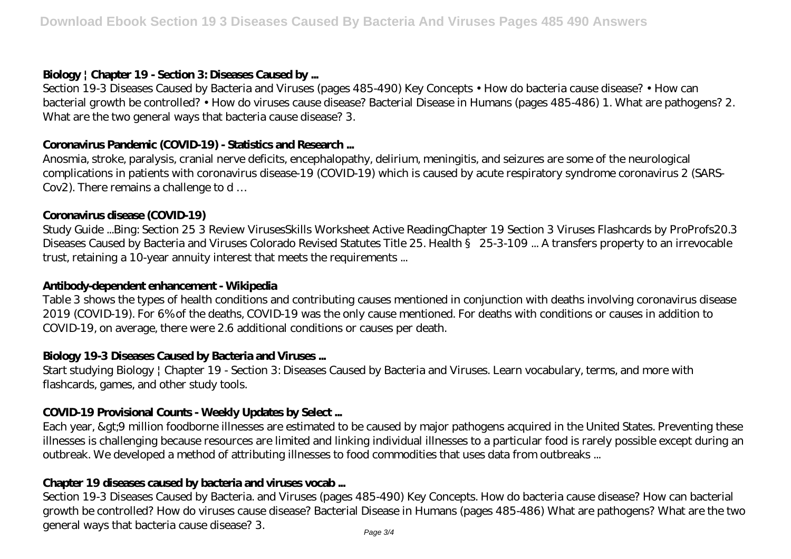## **Biology | Chapter 19 - Section 3: Diseases Caused by ...**

Section 19-3 Diseases Caused by Bacteria and Viruses (pages 485-490) Key Concepts • How do bacteria cause disease? • How can bacterial growth be controlled? • How do viruses cause disease? Bacterial Disease in Humans (pages 485-486) 1. What are pathogens? 2. What are the two general ways that bacteria cause disease? 3.

## **Coronavirus Pandemic (COVID-19) - Statistics and Research ...**

Anosmia, stroke, paralysis, cranial nerve deficits, encephalopathy, delirium, meningitis, and seizures are some of the neurological complications in patients with coronavirus disease-19 (COVID-19) which is caused by acute respiratory syndrome coronavirus 2 (SARS-Cov2). There remains a challenge to d …

## **Coronavirus disease (COVID-19)**

Study Guide ...Bing: Section 25 3 Review VirusesSkills Worksheet Active ReadingChapter 19 Section 3 Viruses Flashcards by ProProfs20.3 Diseases Caused by Bacteria and Viruses Colorado Revised Statutes Title 25. Health § 25-3-109 ... A transfers property to an irrevocable trust, retaining a 10-year annuity interest that meets the requirements ...

## **Antibody-dependent enhancement - Wikipedia**

Table 3 shows the types of health conditions and contributing causes mentioned in conjunction with deaths involving coronavirus disease 2019 (COVID-19). For 6% of the deaths, COVID-19 was the only cause mentioned. For deaths with conditions or causes in addition to COVID-19, on average, there were 2.6 additional conditions or causes per death.

## **Biology 19-3 Diseases Caused by Bacteria and Viruses ...**

Start studying Biology | Chapter 19 - Section 3: Diseases Caused by Bacteria and Viruses. Learn vocabulary, terms, and more with flashcards, games, and other study tools.

## **COVID-19 Provisional Counts - Weekly Updates by Select ...**

Each year, >9 million foodborne illnesses are estimated to be caused by major pathogens acquired in the United States. Preventing these illnesses is challenging because resources are limited and linking individual illnesses to a particular food is rarely possible except during an outbreak. We developed a method of attributing illnesses to food commodities that uses data from outbreaks ...

## **Chapter 19 diseases caused by bacteria and viruses vocab ...**

Section 19-3 Diseases Caused by Bacteria. and Viruses (pages 485-490) Key Concepts. How do bacteria cause disease? How can bacterial growth be controlled? How do viruses cause disease? Bacterial Disease in Humans (pages 485-486) What are pathogens? What are the two general ways that bacteria cause disease? 3. Page 3/4